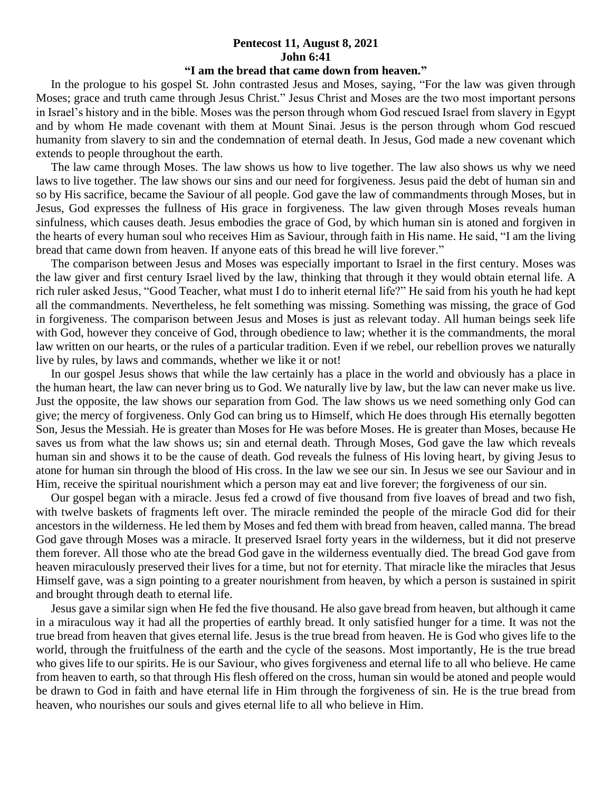## **Pentecost 11, August 8, 2021 John 6:41**

## **"I am the bread that came down from heaven."**

 In the prologue to his gospel St. John contrasted Jesus and Moses, saying, "For the law was given through Moses; grace and truth came through Jesus Christ." Jesus Christ and Moses are the two most important persons in Israel's history and in the bible. Moses was the person through whom God rescued Israel from slavery in Egypt and by whom He made covenant with them at Mount Sinai. Jesus is the person through whom God rescued humanity from slavery to sin and the condemnation of eternal death. In Jesus, God made a new covenant which extends to people throughout the earth.

 The law came through Moses. The law shows us how to live together. The law also shows us why we need laws to live together. The law shows our sins and our need for forgiveness. Jesus paid the debt of human sin and so by His sacrifice, became the Saviour of all people. God gave the law of commandments through Moses, but in Jesus, God expresses the fullness of His grace in forgiveness. The law given through Moses reveals human sinfulness, which causes death. Jesus embodies the grace of God, by which human sin is atoned and forgiven in the hearts of every human soul who receives Him as Saviour, through faith in His name. He said, "I am the living bread that came down from heaven. If anyone eats of this bread he will live forever."

 The comparison between Jesus and Moses was especially important to Israel in the first century. Moses was the law giver and first century Israel lived by the law, thinking that through it they would obtain eternal life. A rich ruler asked Jesus, "Good Teacher, what must I do to inherit eternal life?" He said from his youth he had kept all the commandments. Nevertheless, he felt something was missing. Something was missing, the grace of God in forgiveness. The comparison between Jesus and Moses is just as relevant today. All human beings seek life with God, however they conceive of God, through obedience to law; whether it is the commandments, the moral law written on our hearts, or the rules of a particular tradition. Even if we rebel, our rebellion proves we naturally live by rules, by laws and commands, whether we like it or not!

 In our gospel Jesus shows that while the law certainly has a place in the world and obviously has a place in the human heart, the law can never bring us to God. We naturally live by law, but the law can never make us live. Just the opposite, the law shows our separation from God. The law shows us we need something only God can give; the mercy of forgiveness. Only God can bring us to Himself, which He does through His eternally begotten Son, Jesus the Messiah. He is greater than Moses for He was before Moses. He is greater than Moses, because He saves us from what the law shows us; sin and eternal death. Through Moses, God gave the law which reveals human sin and shows it to be the cause of death. God reveals the fulness of His loving heart, by giving Jesus to atone for human sin through the blood of His cross. In the law we see our sin. In Jesus we see our Saviour and in Him, receive the spiritual nourishment which a person may eat and live forever; the forgiveness of our sin.

 Our gospel began with a miracle. Jesus fed a crowd of five thousand from five loaves of bread and two fish, with twelve baskets of fragments left over. The miracle reminded the people of the miracle God did for their ancestors in the wilderness. He led them by Moses and fed them with bread from heaven, called manna. The bread God gave through Moses was a miracle. It preserved Israel forty years in the wilderness, but it did not preserve them forever. All those who ate the bread God gave in the wilderness eventually died. The bread God gave from heaven miraculously preserved their lives for a time, but not for eternity. That miracle like the miracles that Jesus Himself gave, was a sign pointing to a greater nourishment from heaven, by which a person is sustained in spirit and brought through death to eternal life.

 Jesus gave a similar sign when He fed the five thousand. He also gave bread from heaven, but although it came in a miraculous way it had all the properties of earthly bread. It only satisfied hunger for a time. It was not the true bread from heaven that gives eternal life. Jesus is the true bread from heaven. He is God who gives life to the world, through the fruitfulness of the earth and the cycle of the seasons. Most importantly, He is the true bread who gives life to our spirits. He is our Saviour, who gives forgiveness and eternal life to all who believe. He came from heaven to earth, so that through His flesh offered on the cross, human sin would be atoned and people would be drawn to God in faith and have eternal life in Him through the forgiveness of sin. He is the true bread from heaven, who nourishes our souls and gives eternal life to all who believe in Him.